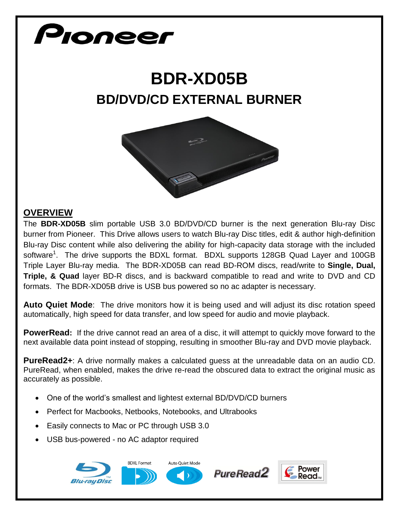# Pionee

## **BDR-XD05B BD/DVD/CD EXTERNAL BURNER**



#### **OVERVIEW**

The **BDR-XD05B** slim portable USB 3.0 BD/DVD/CD burner is the next generation Blu-ray Disc burner from Pioneer. This Drive allows users to watch Blu-ray Disc titles, edit & author high-definition Blu-ray Disc content while also delivering the ability for high-capacity data storage with the included software<sup>1</sup>. The drive supports the BDXL format. BDXL supports 128GB Quad Layer and 100GB Triple Layer Blu-ray media. The BDR-XD05B can read BD-ROM discs, read/write to **Single, Dual, Triple, & Quad** layer BD-R discs, and is backward compatible to read and write to DVD and CD formats. The BDR-XD05B drive is USB bus powered so no ac adapter is necessary.

**Auto Quiet Mode**: The drive monitors how it is being used and will adjust its disc rotation speed automatically, high speed for data transfer, and low speed for audio and movie playback.

**PowerRead:** If the drive cannot read an area of a disc, it will attempt to quickly move forward to the next available data point instead of stopping, resulting in smoother Blu-ray and DVD movie playback.

**PureRead2+**: A drive normally makes a calculated guess at the unreadable data on an audio CD. PureRead, when enabled, makes the drive re-read the obscured data to extract the original music as accurately as possible.

- One of the world's smallest and lightest external BD/DVD/CD burners
- Perfect for Macbooks, Netbooks, Notebooks, and Ultrabooks
- Easily connects to Mac or PC through USB 3.0
- USB bus-powered no AC adaptor required